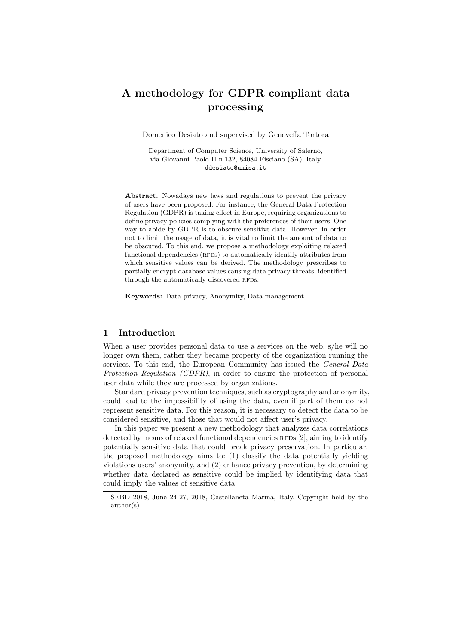# A methodology for GDPR compliant data processing

Domenico Desiato and supervised by Genoveffa Tortora

Department of Computer Science, University of Salerno, via Giovanni Paolo II n.132, 84084 Fisciano (SA), Italy ddesiato@unisa.it

Abstract. Nowadays new laws and regulations to prevent the privacy of users have been proposed. For instance, the General Data Protection Regulation (GDPR) is taking effect in Europe, requiring organizations to define privacy policies complying with the preferences of their users. One way to abide by GDPR is to obscure sensitive data. However, in order not to limit the usage of data, it is vital to limit the amount of data to be obscured. To this end, we propose a methodology exploiting relaxed functional dependencies (RFDs) to automatically identify attributes from which sensitive values can be derived. The methodology prescribes to partially encrypt database values causing data privacy threats, identified through the automatically discovered RFDs.

Keywords: Data privacy, Anonymity, Data management

# 1 Introduction

When a user provides personal data to use a services on the web, s/he will no longer own them, rather they became property of the organization running the services. To this end, the European Community has issued the *General Data* Protection Regulation (GDPR), in order to ensure the protection of personal user data while they are processed by organizations.

Standard privacy prevention techniques, such as cryptography and anonymity, could lead to the impossibility of using the data, even if part of them do not represent sensitive data. For this reason, it is necessary to detect the data to be considered sensitive, and those that would not affect user's privacy.

In this paper we present a new methodology that analyzes data correlations detected by means of relaxed functional dependencies  $RFDs$  [2], aiming to identify potentially sensitive data that could break privacy preservation. In particular, the proposed methodology aims to: (1) classify the data potentially yielding violations users' anonymity, and (2) enhance privacy prevention, by determining whether data declared as sensitive could be implied by identifying data that could imply the values of sensitive data.

SEBD 2018, June 24-27, 2018, Castellaneta Marina, Italy. Copyright held by the author(s).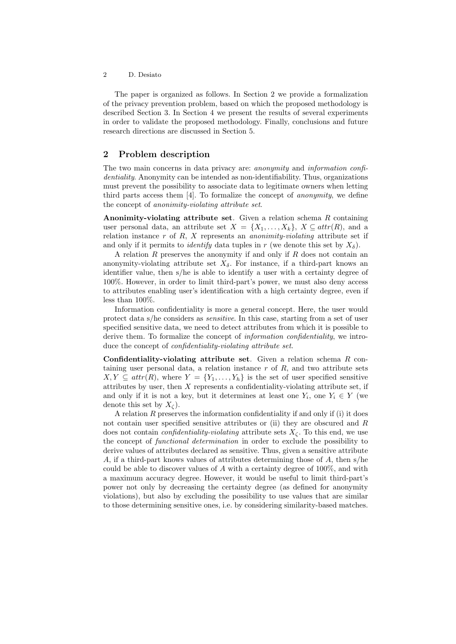#### 2 D. Desiato

The paper is organized as follows. In Section 2 we provide a formalization of the privacy prevention problem, based on which the proposed methodology is described Section 3. In Section 4 we present the results of several experiments in order to validate the proposed methodology. Finally, conclusions and future research directions are discussed in Section 5.

# 2 Problem description

The two main concerns in data privacy are: anonymity and information confidentiality. Anonymity can be intended as non-identifiability. Thus, organizations must prevent the possibility to associate data to legitimate owners when letting third parts access them  $[4]$ . To formalize the concept of *anonymity*, we define the concept of anonimity-violating attribute set.

Anonimity-violating attribute set. Given a relation schema  $R$  containing user personal data, an attribute set  $X = \{X_1, \ldots, X_k\}, X \subseteq \text{attr}(R)$ , and a relation instance  $r$  of  $R$ ,  $X$  represents an *anonimity-violating* attribute set if and only if it permits to *identify* data tuples in r (we denote this set by  $X_{\delta}$ ).

A relation  $R$  preserves the anonymity if and only if  $R$  does not contain an anonymity-violating attribute set  $X_{\delta}$ . For instance, if a third-part knows an identifier value, then s/he is able to identify a user with a certainty degree of 100%. However, in order to limit third-part's power, we must also deny access to attributes enabling user's identification with a high certainty degree, even if less than 100%.

Information confidentiality is more a general concept. Here, the user would protect data s/he considers as sensitive. In this case, starting from a set of user specified sensitive data, we need to detect attributes from which it is possible to derive them. To formalize the concept of *information confidentiality*, we introduce the concept of *confidentiality-violating attribute set*.

Confidentiality-violating attribute set. Given a relation schema  $R$  containing user personal data, a relation instance  $r$  of  $R$ , and two attribute sets  $X, Y \subseteq attr(R)$ , where  $Y = \{Y_1, \ldots, Y_h\}$  is the set of user specified sensitive attributes by user, then  $X$  represents a confidentiality-violating attribute set, if and only if it is not a key, but it determines at least one  $Y_i$ , one  $Y_i \in Y$  (we denote this set by  $X_{\zeta}$ ).

A relation  $R$  preserves the information confidentiality if and only if (i) it does not contain user specified sensitive attributes or (ii) they are obscured and R does not contain *confidentiality-violating* attribute sets  $X_{\zeta}$ . To this end, we use the concept of functional determination in order to exclude the possibility to derive values of attributes declared as sensitive. Thus, given a sensitive attribute A, if a third-part knows values of attributes determining those of A, then s/he could be able to discover values of A with a certainty degree of 100%, and with a maximum accuracy degree. However, it would be useful to limit third-part's power not only by decreasing the certainty degree (as defined for anonymity violations), but also by excluding the possibility to use values that are similar to those determining sensitive ones, i.e. by considering similarity-based matches.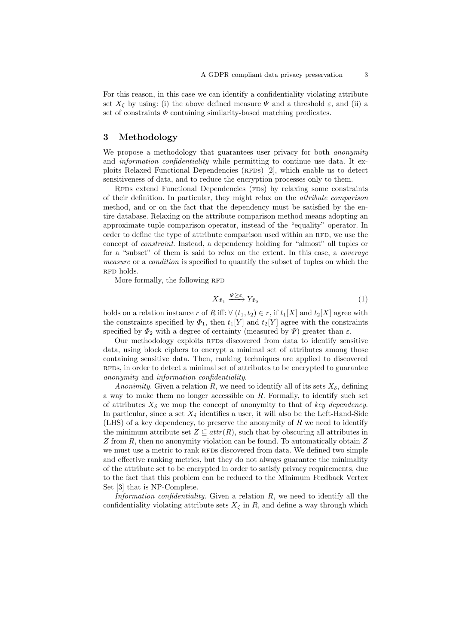For this reason, in this case we can identify a confidentiality violating attribute set  $X_{\zeta}$  by using: (i) the above defined measure  $\Psi$  and a threshold  $\varepsilon$ , and (ii) a set of constraints  $\Phi$  containing similarity-based matching predicates.

# 3 Methodology

We propose a methodology that guarantees user privacy for both *anonymity* and information confidentiality while permitting to continue use data. It exploits Relaxed Functional Dependencies (RFDs) [2], which enable us to detect sensitiveness of data, and to reduce the encryption processes only to them.

RFDs extend Functional Dependencies (FDs) by relaxing some constraints of their definition. In particular, they might relax on the attribute comparison method, and or on the fact that the dependency must be satisfied by the entire database. Relaxing on the attribute comparison method means adopting an approximate tuple comparison operator, instead of the "equality" operator. In order to define the type of attribute comparison used within an RFD, we use the concept of constraint. Instead, a dependency holding for "almost" all tuples or for a "subset" of them is said to relax on the extent. In this case, a coverage measure or a condition is specified to quantify the subset of tuples on which the RFD holds.

More formally, the following RFD

$$
X_{\varPhi_1} \xrightarrow{\Psi \geq \varepsilon} Y_{\varPhi_2} \tag{1}
$$

holds on a relation instance r of R iff:  $\forall$   $(t_1, t_2) \in r$ , if  $t_1[X]$  and  $t_2[X]$  agree with the constraints specified by  $\Phi_1$ , then  $t_1[Y]$  and  $t_2[Y]$  agree with the constraints specified by  $\Phi_2$  with a degree of certainty (measured by  $\Psi$ ) greater than  $\varepsilon$ .

Our methodology exploits RFDs discovered from data to identify sensitive data, using block ciphers to encrypt a minimal set of attributes among those containing sensitive data. Then, ranking techniques are applied to discovered rfds, in order to detect a minimal set of attributes to be encrypted to guarantee anonymity and information confidentiality.

Anonimity. Given a relation R, we need to identify all of its sets  $X_{\delta}$ , defining a way to make them no longer accessible on R. Formally, to identify such set of attributes  $X_{\delta}$  we map the concept of anonymity to that of key dependency. In particular, since a set  $X_{\delta}$  identifies a user, it will also be the Left-Hand-Side (LHS) of a key dependency, to preserve the anonymity of  $R$  we need to identify the minimum attribute set  $Z \subseteq attr(R)$ , such that by obscuring all attributes in Z from R, then no anonymity violation can be found. To automatically obtain  $Z$ we must use a metric to rank RFDs discovered from data. We defined two simple and effective ranking metrics, but they do not always guarantee the minimality of the attribute set to be encrypted in order to satisfy privacy requirements, due to the fact that this problem can be reduced to the Minimum Feedback Vertex Set [3] that is NP-Complete.

Information confidentiality. Given a relation  $R$ , we need to identify all the confidentiality violating attribute sets  $X_{\zeta}$  in R, and define a way through which